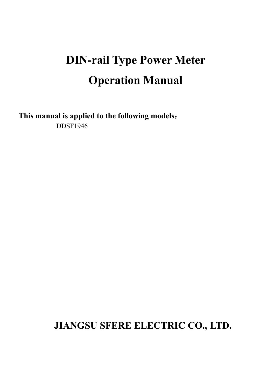# **DIN-rail Type Power Meter Operation Manual**

**This manual is applied to the following models**: DDSF1946

# **JIANGSU SFERE ELECTRIC CO., LTD.**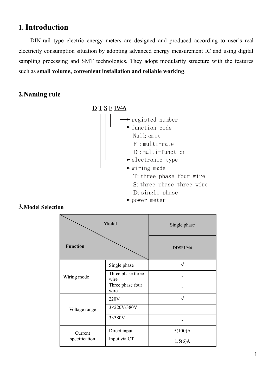# **1. Introduction**

DIN-rail type electric energy meters are designed and produced according to user's real electricity consumption situation by adopting advanced energy measurement IC and using digital sampling processing and SMT technologies. They adopt modularity structure with the features such as **small volume, convenient installation and reliable working**.

### **2.Naming rule**



#### **3.Model Selection**

| <b>Model</b>             |                           | Single phase    |
|--------------------------|---------------------------|-----------------|
| <b>Function</b>          |                           | <b>DDSF1946</b> |
| Wiring mode              | Single phase              | $\sqrt{}$       |
|                          | Three phase three<br>wire |                 |
|                          | Three phase four<br>wire  |                 |
| Voltage range            | 220V                      | $\sqrt{ }$      |
|                          | 3×220V/380V               |                 |
|                          | $3\times380V$             |                 |
| Current<br>specification | Direct input              | 5(100)A         |
|                          | Input via CT              | 1.5(6)A         |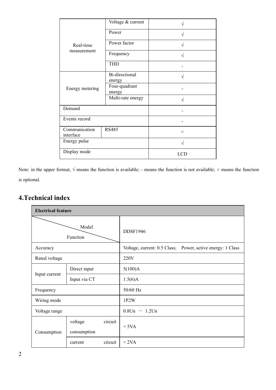|                            | Voltage & current        |            |  |
|----------------------------|--------------------------|------------|--|
|                            | Power                    | $\sqrt{ }$ |  |
| Real-time                  | Power factor             |            |  |
| measurement                | Frequency                | $\sqrt{ }$ |  |
|                            | <b>THD</b>               |            |  |
|                            | Bi-directional<br>energy | V          |  |
| Energy metering            | Four-quadrant<br>energy  |            |  |
|                            | Multi-rate energy        |            |  |
| Demand                     |                          |            |  |
| Events record              |                          |            |  |
| Communication<br>interface | <b>RS485</b>             | $\circ$    |  |
| Energy pulse               |                          | V          |  |
| Display mode               |                          | <b>LCD</b> |  |

Note: in the upper format,  $\sqrt{}$  means the function is available; - means the function is not available;  $\circ$  means the function is optional.

## **4.Technical index**

| <b>Electrical feature</b> |                        |         |                                                            |
|---------------------------|------------------------|---------|------------------------------------------------------------|
|                           | Model<br>Function      |         | <b>DDSF1946</b>                                            |
| Accuracy                  |                        |         | Voltage, current: 0.5 Class; Power, active energy: 1 Class |
| Rated voltage             |                        |         | 220V                                                       |
|                           | Direct input           |         | 5(100)A                                                    |
| Input current             | Input via CT           |         | 1.5(6)A                                                    |
| Frequency                 |                        |         | 50/60 Hz                                                   |
| Wiring mode               |                        |         | 1P2W                                                       |
| Voltage range             |                        |         | $0.8$ Un $\sim 1.2$ Un                                     |
| Consumption               | voltage<br>consumption | circuit | $<$ 5VA                                                    |
|                           | current                | circuit | < 2VA                                                      |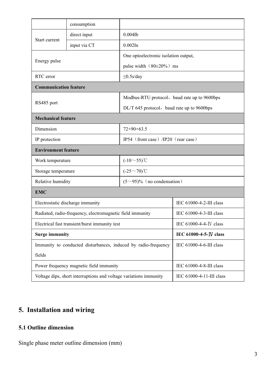|                                                                   | consumption  |                                              |                          |
|-------------------------------------------------------------------|--------------|----------------------------------------------|--------------------------|
| Start current                                                     | direct input | $0.004$ Ib                                   |                          |
|                                                                   | input via CT | $0.002$ In                                   |                          |
| Energy pulse                                                      |              | One optoelectronic isolation output,         |                          |
|                                                                   |              | pulse width (80±20%) ms                      |                          |
| RTC error                                                         |              | $\leq$ 0.5s/day                              |                          |
| <b>Communication feature</b>                                      |              |                                              |                          |
| RS485 port                                                        |              | Modbus-RTU protocol, baud rate up to 9600bps |                          |
|                                                                   |              | DL/T 645 protocol, baud rate up to 9600bps   |                          |
| <b>Mechanical feature</b>                                         |              |                                              |                          |
| Dimension                                                         |              | $72\times90\times63.5$                       |                          |
| IP protection                                                     |              | IP54 (front case) /IP20 (rear case)          |                          |
| <b>Environment feature</b>                                        |              |                                              |                          |
| Work temperature                                                  |              | $(-10\sim 55)$ °C                            |                          |
| Storage temperature                                               |              | $(-25\sim 70)$ °C                            |                          |
| Relative humidity                                                 |              | $(5~95)\%$ (no condensation)                 |                          |
| <b>EMC</b>                                                        |              |                                              |                          |
| Electrostatic discharge immunity                                  |              | IEC 61000-4-2-III class                      |                          |
| Radiated, radio-frequency, electromagnetic field immunity         |              | IEC 61000-4-3-III class                      |                          |
| Electrical fast transient/burst immunity test                     |              | IEC 61000-4-4-IV class                       |                          |
| <b>Surge immunity</b>                                             |              | IEC 61000-4-5-IV class                       |                          |
| Immunity to conducted disturbances, induced by radio-frequency    |              | IEC 61000-4-6-III class                      |                          |
| fields                                                            |              |                                              |                          |
| Power frequency magnetic field immunity                           |              | IEC 61000-4-8-III class                      |                          |
| Voltage dips, short interruptions and voltage variations immunity |              |                                              | IEC 61000-4-11-III class |

# **5. Installation and wiring**

#### **5.1 Outline dimension**

Single phase meter outline dimension (mm)